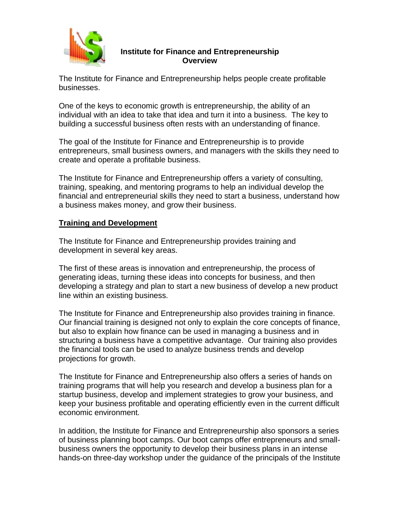

# **Institute for Finance and Entrepreneurship Overview**

The Institute for Finance and Entrepreneurship helps people create profitable businesses.

One of the keys to economic growth is entrepreneurship, the ability of an individual with an idea to take that idea and turn it into a business. The key to building a successful business often rests with an understanding of finance.

The goal of the Institute for Finance and Entrepreneurship is to provide entrepreneurs, small business owners, and managers with the skills they need to create and operate a profitable business.

The Institute for Finance and Entrepreneurship offers a variety of consulting, training, speaking, and mentoring programs to help an individual develop the financial and entrepreneurial skills they need to start a business, understand how a business makes money, and grow their business.

# **Training and Development**

The Institute for Finance and Entrepreneurship provides training and development in several key areas.

The first of these areas is innovation and entrepreneurship, the process of generating ideas, turning these ideas into concepts for business, and then developing a strategy and plan to start a new business of develop a new product line within an existing business.

The Institute for Finance and Entrepreneurship also provides training in finance. Our financial training is designed not only to explain the core concepts of finance, but also to explain how finance can be used in managing a business and in structuring a business have a competitive advantage. Our training also provides the financial tools can be used to analyze business trends and develop projections for growth.

The Institute for Finance and Entrepreneurship also offers a series of hands on training programs that will help you research and develop a business plan for a startup business, develop and implement strategies to grow your business, and keep your business profitable and operating efficiently even in the current difficult economic environment.

In addition, the Institute for Finance and Entrepreneurship also sponsors a series of business planning boot camps. Our boot camps offer entrepreneurs and smallbusiness owners the opportunity to develop their business plans in an intense hands-on three-day workshop under the guidance of the principals of the Institute